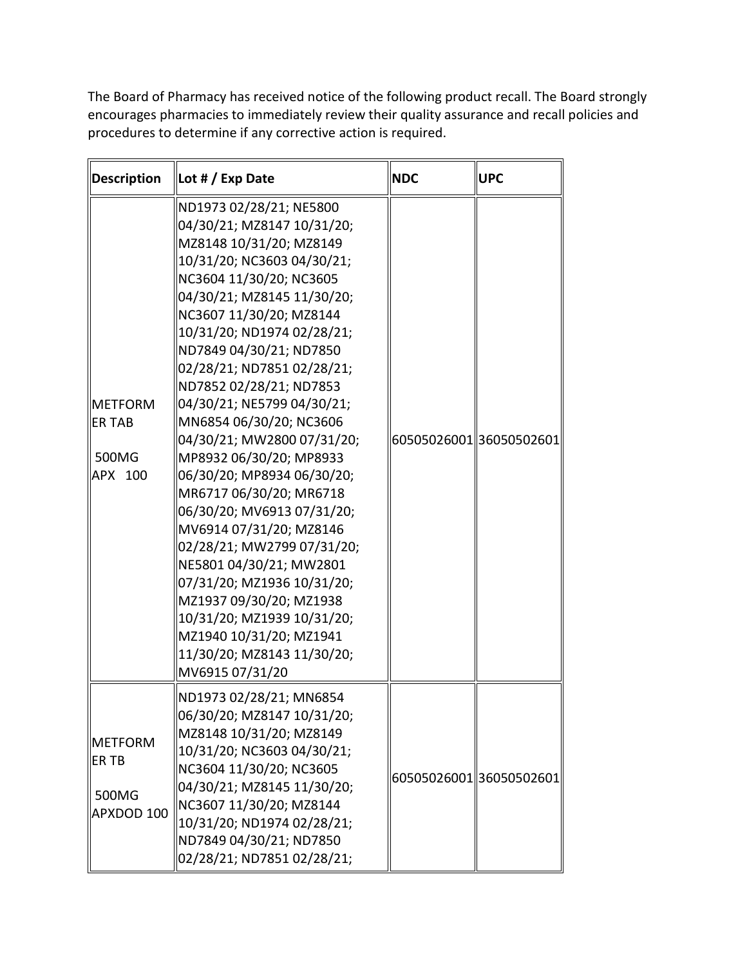The Board of Pharmacy has received notice of the following product recall. The Board strongly encourages pharmacies to immediately review their quality assurance and recall policies and procedures to determine if any corrective action is required.

| Description                                      | Lot # / Exp Date                                                                                                                                                                                                                                                                                                                                                                                                                                                                                                                                                                                                                                                                                                                                                                     | <b>NDC</b>              | <b>UPC</b>              |
|--------------------------------------------------|--------------------------------------------------------------------------------------------------------------------------------------------------------------------------------------------------------------------------------------------------------------------------------------------------------------------------------------------------------------------------------------------------------------------------------------------------------------------------------------------------------------------------------------------------------------------------------------------------------------------------------------------------------------------------------------------------------------------------------------------------------------------------------------|-------------------------|-------------------------|
| <b>IMETFORM</b><br>∥ER TAB<br>500MG<br>APX 100   | ND1973 02/28/21; NE5800<br>04/30/21; MZ8147 10/31/20;<br>MZ8148 10/31/20; MZ8149<br>10/31/20; NC3603 04/30/21;<br>NC3604 11/30/20; NC3605<br>04/30/21; MZ8145 11/30/20;<br>NC3607 11/30/20; MZ8144<br>10/31/20; ND1974 02/28/21;<br>ND7849 04/30/21; ND7850<br>02/28/21; ND7851 02/28/21;<br>ND7852 02/28/21; ND7853<br>04/30/21; NE5799 04/30/21;<br>MN6854 06/30/20; NC3606<br>04/30/21; MW2800 07/31/20;<br>MP8932 06/30/20; MP8933<br>06/30/20; MP8934 06/30/20;<br>MR6717 06/30/20; MR6718<br>06/30/20; MV6913 07/31/20;<br>MV6914 07/31/20; MZ8146<br>02/28/21; MW2799 07/31/20;<br>NE5801 04/30/21; MW2801<br>07/31/20; MZ1936 10/31/20;<br>MZ1937 09/30/20; MZ1938<br>10/31/20; MZ1939 10/31/20;<br>MZ1940 10/31/20; MZ1941<br>11/30/20; MZ8143 11/30/20;<br>MV6915 07/31/20 | 60505026001 36050502601 |                         |
| <b>IMETFORM</b><br>IER TB<br>500MG<br>APXDOD 100 | ND1973 02/28/21; MN6854<br>06/30/20; MZ8147 10/31/20;<br>MZ8148 10/31/20; MZ8149<br>10/31/20; NC3603 04/30/21;<br>NC3604 11/30/20; NC3605<br>04/30/21; MZ8145 11/30/20;<br>NC3607 11/30/20; MZ8144<br>10/31/20; ND1974 02/28/21;<br>ND7849 04/30/21; ND7850<br>02/28/21; ND7851 02/28/21;                                                                                                                                                                                                                                                                                                                                                                                                                                                                                            |                         | 60505026001 36050502601 |